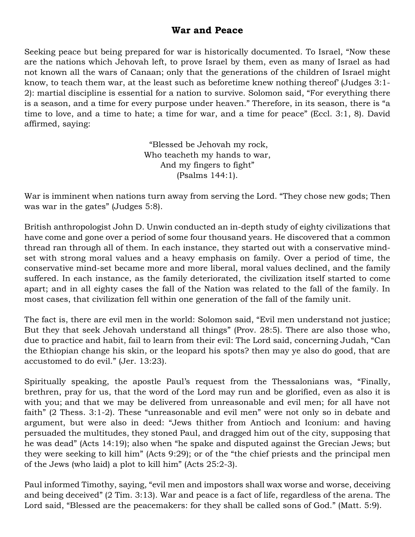## **War and Peace**

Seeking peace but being prepared for war is historically documented. To Israel, "Now these are the nations which Jehovah left, to prove Israel by them, even as many of Israel as had not known all the wars of Canaan; only that the generations of the children of Israel might know, to teach them war, at the least such as beforetime knew nothing thereof' (Judges 3:1- 2): martial discipline is essential for a nation to survive. Solomon said, "For everything there is a season, and a time for every purpose under heaven." Therefore, in its season, there is "a time to love, and a time to hate; a time for war, and a time for peace" (Eccl. 3:1, 8). David affirmed, saying:

> "Blessed be Jehovah my rock, Who teacheth my hands to war, And my fingers to fight" (Psalms 144:1).

War is imminent when nations turn away from serving the Lord. "They chose new gods; Then was war in the gates" (Judges 5:8).

British anthropologist John D. Unwin conducted an in-depth study of eighty civilizations that have come and gone over a period of some four thousand years. He discovered that a common thread ran through all of them. In each instance, they started out with a conservative mindset with strong moral values and a heavy emphasis on family. Over a period of time, the conservative mind-set became more and more liberal, moral values declined, and the family suffered. In each instance, as the family deteriorated, the civilization itself started to come apart; and in all eighty cases the fall of the Nation was related to the fall of the family. In most cases, that civilization fell within one generation of the fall of the family unit.

The fact is, there are evil men in the world: Solomon said, "Evil men understand not justice; But they that seek Jehovah understand all things" (Prov. 28:5). There are also those who, due to practice and habit, fail to learn from their evil: The Lord said, concerning Judah, "Can the Ethiopian change his skin, or the leopard his spots? then may ye also do good, that are accustomed to do evil." (Jer. 13:23).

Spiritually speaking, the apostle Paul's request from the Thessalonians was, "Finally, brethren, pray for us, that the word of the Lord may run and be glorified, even as also it is with you; and that we may be delivered from unreasonable and evil men; for all have not faith" (2 Thess. 3:1-2). These "unreasonable and evil men" were not only so in debate and argument, but were also in deed: "Jews thither from Antioch and Iconium: and having persuaded the multitudes, they stoned Paul, and dragged him out of the city, supposing that he was dead" (Acts 14:19); also when "he spake and disputed against the Grecian Jews; but they were seeking to kill him" (Acts 9:29); or of the "the chief priests and the principal men of the Jews (who laid) a plot to kill him" (Acts 25:2-3).

Paul informed Timothy, saying, "evil men and impostors shall wax worse and worse, deceiving and being deceived" (2 Tim. 3:13). War and peace is a fact of life, regardless of the arena. The Lord said, "Blessed are the peacemakers: for they shall be called sons of God." (Matt. 5:9).